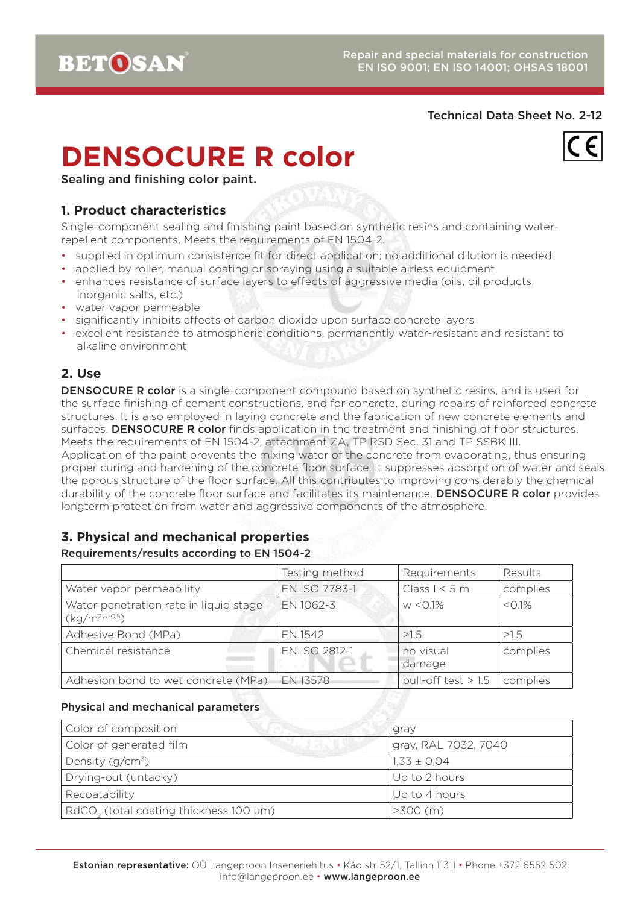#### Technical Data Sheet No. 2-12

# **DENSOCURE R color**



Sealing and finishing color paint.

## **1. Product characteristics**

Single-component sealing and finishing paint based on synthetic resins and containing waterrepellent components. Meets the requirements of EN 1504-2.

- supplied in optimum consistence fit for direct application; no additional dilution is needed
- applied by roller, manual coating or spraying using a suitable airless equipment
- enhances resistance of surface layers to effects of aggressive media (oils, oil products, inorganic salts, etc.)
- water vapor permeable
- significantly inhibits effects of carbon dioxide upon surface concrete layers
- excellent resistance to atmospheric conditions, permanently water-resistant and resistant to alkaline environment

# **2. Use**

**DENSOCURE R color** is a single-component compound based on synthetic resins, and is used for the surface finishing of cement constructions, and for concrete, during repairs of reinforced concrete structures. It is also employed in laying concrete and the fabrication of new concrete elements and surfaces. DENSOCURE R color finds application in the treatment and finishing of floor structures. Meets the requirements of EN 1504-2, attachment ZA, TP RSD Sec. 31 and TP SSBK III. Application of the paint prevents the mixing water of the concrete from evaporating, thus ensuring proper curing and hardening of the concrete floor surface. It suppresses absorption of water and seals the porous structure of the floor surface. All this contributes to improving considerably the chemical durability of the concrete floor surface and facilitates its maintenance. DENSOCURE R color provides longterm protection from water and aggressive components of the atmosphere.

# **3. Physical and mechanical properties**

#### Requirements/results according to EN 1504-2

|                                                          | Testing method | Requirements          | Results   |
|----------------------------------------------------------|----------------|-----------------------|-----------|
| Water vapor permeability                                 | EN ISO 7783-1  | Class $1 < 5$ m       | complies  |
| Water penetration rate in liquid stage<br>$(kg/m2h-0.5)$ | EN 1062-3      | $W < 0.1\%$           | $< 0.1\%$ |
| Adhesive Bond (MPa)                                      | EN 1542        | >1.5                  | >1.5      |
| Chemical resistance                                      | EN ISO 2812-1  | no visual<br>damage   | complies  |
| Adhesion bond to wet concrete (MPa)                      | EN 13578       | pull-off test $> 1.5$ | complies  |

#### Physical and mechanical parameters

| Color of composition                                      | gray                 |
|-----------------------------------------------------------|----------------------|
| Color of generated film                                   | gray, RAL 7032, 7040 |
| Density $(g/cm^3)$                                        | $1,33 \pm 0,04$      |
| Drying-out (untacky)                                      | Up to 2 hours        |
| Recoatability                                             | Up to 4 hours        |
| $RdCO$ <sub>2</sub> (total coating thickness 100 $\mu$ m) | $>300$ (m)           |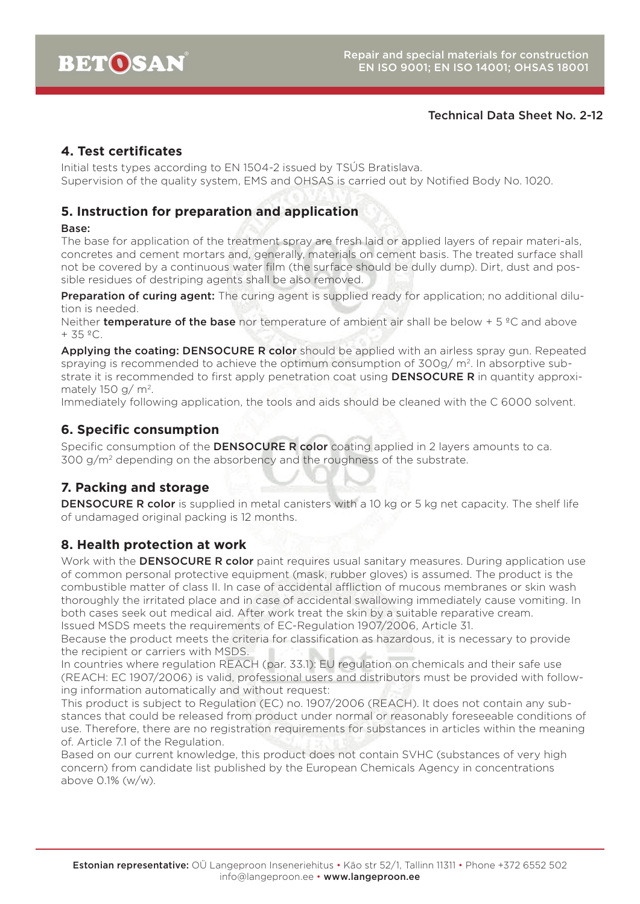#### Technical Data Sheet No. 2-12

#### **4. Test certificates**

Initial tests types according to EN 1504-2 issued by TSÚS Bratislava. Supervision of the quality system, EMS and OHSAS is carried out by Notified Body No. 1020.

#### **5. Instruction for preparation and application**

#### Base:

The base for application of the treatment spray are fresh laid or applied layers of repair materi-als, concretes and cement mortars and, generally, materials on cement basis. The treated surface shall not be covered by a continuous water film (the surface should be dully dump). Dirt, dust and possible residues of destriping agents shall be also removed.

**Preparation of curing agent:** The curing agent is supplied ready for application; no additional dilution is needed.

Neither **temperature of the base** nor temperature of ambient air shall be below  $+5$  °C and above  $+ 35 °C$ .

Applying the coating: DENSOCURE R color should be applied with an airless spray gun. Repeated spraying is recommended to achieve the optimum consumption of 300g/ m<sup>2</sup>. In absorptive substrate it is recommended to first apply penetration coat using **DENSOCURE R** in quantity approximately 150 g/ $m^2$ .

Immediately following application, the tools and aids should be cleaned with the C 6000 solvent.

#### **6. Specific consumption**

Specific consumption of the **DENSOCURE R color** coating applied in 2 layers amounts to ca. 300 g/m2 depending on the absorbency and the roughness of the substrate.

# **7. Packing and storage**

**DENSOCURE R color** is supplied in metal canisters with a 10 kg or 5 kg net capacity. The shelf life of undamaged original packing is 12 months.

# **8. Health protection at work**

Work with the **DENSOCURE R color** paint requires usual sanitary measures. During application use of common personal protective equipment (mask, rubber gloves) is assumed. The product is the combustible matter of class II. In case of accidental affliction of mucous membranes or skin wash thoroughly the irritated place and in case of accidental swallowing immediately cause vomiting. In both cases seek out medical aid. After work treat the skin by a suitable reparative cream.

Issued MSDS meets the requirements of EC-Regulation 1907/2006, Article 31.

Because the product meets the criteria for classification as hazardous, it is necessary to provide the recipient or carriers with MSDS.

In countries where regulation REACH (par. 33.1): EU regulation on chemicals and their safe use (REACH: EC 1907/2006) is valid, professional users and distributors must be provided with following information automatically and without request:

This product is subject to Regulation (EC) no. 1907/2006 (REACH). It does not contain any substances that could be released from product under normal or reasonably foreseeable conditions of use. Therefore, there are no registration requirements for substances in articles within the meaning of. Article 7.1 of the Regulation.

Based on our current knowledge, this product does not contain SVHC (substances of very high concern) from candidate list published by the European Chemicals Agency in concentrations above 0.1% (w/w).